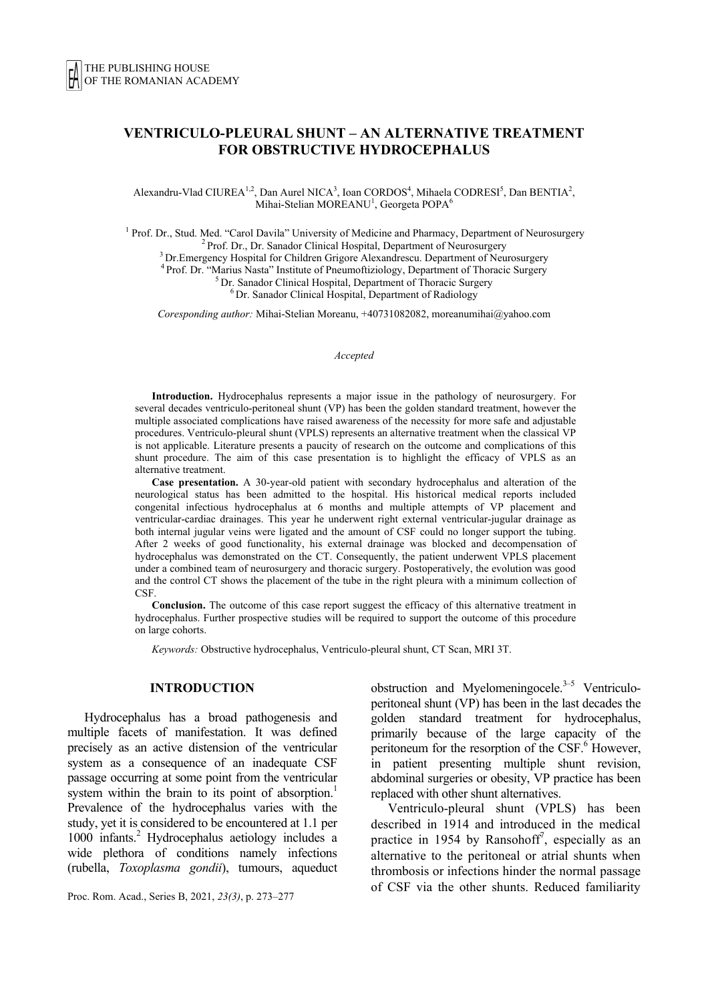# **VENTRICULO-PLEURAL SHUNT – AN ALTERNATIVE TREATMENT FOR OBSTRUCTIVE HYDROCEPHALUS**

Alexandru-Vlad CIUREA<sup>1,2</sup>, Dan Aurel NICA<sup>3</sup>, Ioan CORDOS<sup>4</sup>, Mihaela CODRESI<sup>5</sup>, Dan BENTIA<sup>2</sup>, Mihai-Stelian MOREANU<sup>1</sup>, Georgeta POPA<sup>6</sup>

<sup>1</sup> Prof. Dr., Stud. Med. "Carol Davila" University of Medicine and Pharmacy, Department of Neurosurgery<br>
<sup>2</sup> Prof. Dr., Dr. Sanador Clinical Hospital, Department of Neurosurgery<br>
<sup>3</sup> Dr. Emergency Hospital for Children G

*Coresponding author:* Mihai-Stelian Moreanu, +40731082082, moreanumihai@yahoo.com

*Accepted* 

**Introduction.** Hydrocephalus represents a major issue in the pathology of neurosurgery. For several decades ventriculo-peritoneal shunt (VP) has been the golden standard treatment, however the multiple associated complications have raised awareness of the necessity for more safe and adjustable procedures. Ventriculo-pleural shunt (VPLS) represents an alternative treatment when the classical VP is not applicable. Literature presents a paucity of research on the outcome and complications of this shunt procedure. The aim of this case presentation is to highlight the efficacy of VPLS as an alternative treatment.

**Case presentation.** A 30-year-old patient with secondary hydrocephalus and alteration of the neurological status has been admitted to the hospital. His historical medical reports included congenital infectious hydrocephalus at 6 months and multiple attempts of VP placement and ventricular-cardiac drainages. This year he underwent right external ventricular-jugular drainage as both internal jugular veins were ligated and the amount of CSF could no longer support the tubing. After 2 weeks of good functionality, his external drainage was blocked and decompensation of hydrocephalus was demonstrated on the CT. Consequently, the patient underwent VPLS placement under a combined team of neurosurgery and thoracic surgery. Postoperatively, the evolution was good and the control CT shows the placement of the tube in the right pleura with a minimum collection of **CSF** 

**Conclusion.** The outcome of this case report suggest the efficacy of this alternative treatment in hydrocephalus. Further prospective studies will be required to support the outcome of this procedure on large cohorts.

*Keywords:* Obstructive hydrocephalus, Ventriculo-pleural shunt, CT Scan, MRI 3T.

#### **INTRODUCTION**

 Hydrocephalus has a broad pathogenesis and multiple facets of manifestation. It was defined precisely as an active distension of the ventricular system as a consequence of an inadequate CSF passage occurring at some point from the ventricular system within the brain to its point of absorption.<sup>1</sup> Prevalence of the hydrocephalus varies with the study, yet it is considered to be encountered at 1.1 per 1000 infants.2 Hydrocephalus aetiology includes a wide plethora of conditions namely infections (rubella, *Toxoplasma gondii*), tumours, aqueduct

Proc. Rom. Acad., Series B, 2021, *23(3)*, p. 273–277

obstruction and Myelomeningocele. $3-5$  Ventriculoperitoneal shunt (VP) has been in the last decades the golden standard treatment for hydrocephalus, primarily because of the large capacity of the peritoneum for the resorption of the  $\overline{\text{CSF}}$ .<sup>6</sup> However, in patient presenting multiple shunt revision, abdominal surgeries or obesity, VP practice has been replaced with other shunt alternatives.

Ventriculo-pleural shunt (VPLS) has been described in 1914 and introduced in the medical practice in 1954 by Ransohoff<sup>7</sup>, especially as an alternative to the peritoneal or atrial shunts when thrombosis or infections hinder the normal passage of CSF via the other shunts. Reduced familiarity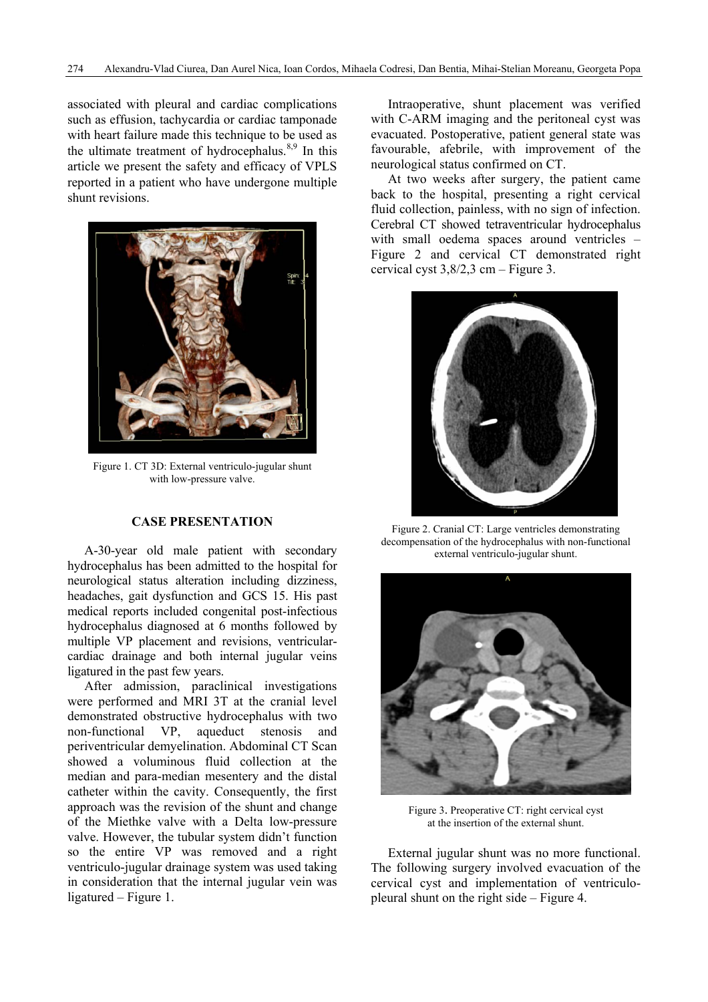associated with pleural and cardiac complications such as effusion, tachycardia or cardiac tamponade with heart failure made this technique to be used as the ultimate treatment of hydrocephalus. $8,9$  In this article we present the safety and efficacy of VPLS reported in a patient who have undergone multiple shunt revisions.



Figure 1. CT 3D: External ventriculo-jugular shunt with low-pressure valve.

## **CASE PRESENTATION**

A-30-year old male patient with secondary hydrocephalus has been admitted to the hospital for neurological status alteration including dizziness, headaches, gait dysfunction and GCS 15. His past medical reports included congenital post-infectious hydrocephalus diagnosed at 6 months followed by multiple VP placement and revisions, ventricularcardiac drainage and both internal jugular veins ligatured in the past few years.

After admission, paraclinical investigations were performed and MRI 3T at the cranial level demonstrated obstructive hydrocephalus with two non-functional VP, aqueduct stenosis and periventricular demyelination. Abdominal CT Scan showed a voluminous fluid collection at the median and para-median mesentery and the distal catheter within the cavity. Consequently, the first approach was the revision of the shunt and change of the Miethke valve with a Delta low-pressure valve. However, the tubular system didn't function so the entire VP was removed and a right ventriculo-jugular drainage system was used taking in consideration that the internal jugular vein was ligatured – Figure 1.

Intraoperative, shunt placement was verified with C-ARM imaging and the peritoneal cyst was evacuated. Postoperative, patient general state was favourable, afebrile, with improvement of the neurological status confirmed on CT.

At two weeks after surgery, the patient came back to the hospital, presenting a right cervical fluid collection, painless, with no sign of infection. Cerebral CT showed tetraventricular hydrocephalus with small oedema spaces around ventricles – Figure 2 and cervical CT demonstrated right cervical cyst 3,8/2,3 cm – Figure 3.



Figure 2. Cranial CT: Large ventricles demonstrating decompensation of the hydrocephalus with non-functional external ventriculo-jugular shunt.



Figure 3. Preoperative CT: right cervical cyst at the insertion of the external shunt.

External jugular shunt was no more functional. The following surgery involved evacuation of the cervical cyst and implementation of ventriculopleural shunt on the right side – Figure 4.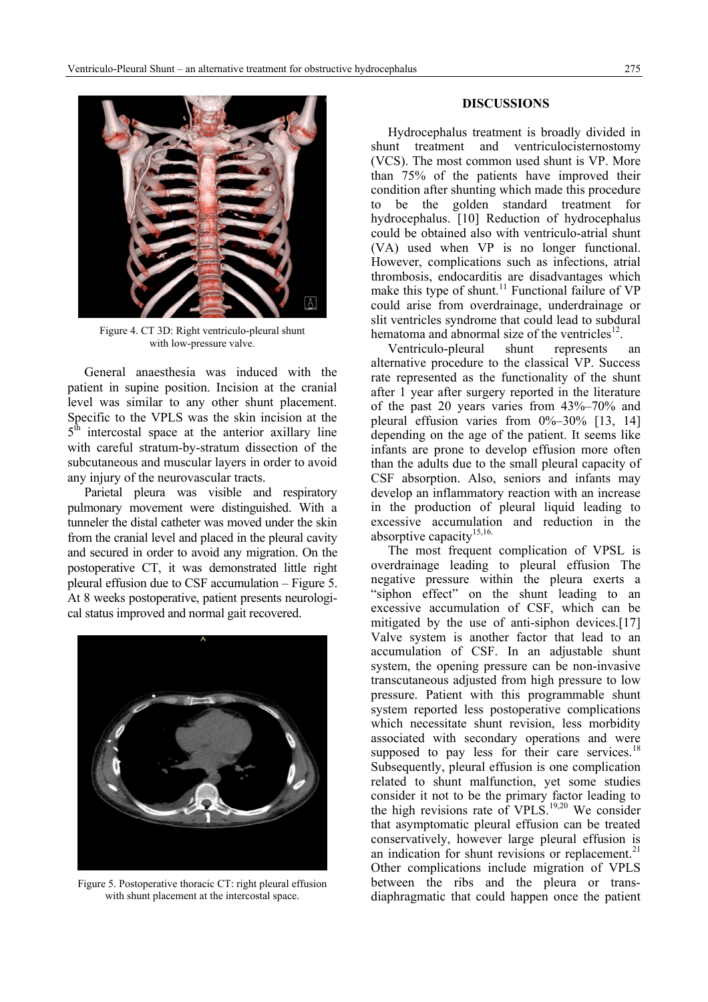

Figure 4. CT 3D: Right ventriculo-pleural shunt with low-pressure valve.

General anaesthesia was induced with the patient in supine position. Incision at the cranial level was similar to any other shunt placement. Specific to the VPLS was the skin incision at the  $5<sup>th</sup>$  intercostal space at the anterior axillary line with careful stratum-by-stratum dissection of the subcutaneous and muscular layers in order to avoid any injury of the neurovascular tracts.

Parietal pleura was visible and respiratory pulmonary movement were distinguished. With a tunneler the distal catheter was moved under the skin from the cranial level and placed in the pleural cavity and secured in order to avoid any migration. On the postoperative CT, it was demonstrated little right pleural effusion due to CSF accumulation – Figure 5. At 8 weeks postoperative, patient presents neurological status improved and normal gait recovered.



Figure 5. Postoperative thoracic CT: right pleural effusion with shunt placement at the intercostal space.

#### **DISCUSSIONS**

Hydrocephalus treatment is broadly divided in shunt treatment and ventriculocisternostomy (VCS). The most common used shunt is VP. More than 75% of the patients have improved their condition after shunting which made this procedure to be the golden standard treatment for hydrocephalus. [10] Reduction of hydrocephalus could be obtained also with ventriculo-atrial shunt (VA) used when VP is no longer functional. However, complications such as infections, atrial thrombosis, endocarditis are disadvantages which make this type of shunt.<sup>11</sup> Functional failure of  $VP$ could arise from overdrainage, underdrainage or slit ventricles syndrome that could lead to subdural hematoma and abnormal size of the ventricles<sup>12</sup>.

 Ventriculo-pleural shunt represents an alternative procedure to the classical VP. Success rate represented as the functionality of the shunt after 1 year after surgery reported in the literature of the past 20 years varies from 43%–70% and pleural effusion varies from  $0\% - 30\%$  [13, 14] depending on the age of the patient. It seems like infants are prone to develop effusion more often than the adults due to the small pleural capacity of CSF absorption. Also, seniors and infants may develop an inflammatory reaction with an increase in the production of pleural liquid leading to excessive accumulation and reduction in the absorptive capacity $15,16$ .

The most frequent complication of VPSL is overdrainage leading to pleural effusion The negative pressure within the pleura exerts a "siphon effect" on the shunt leading to an excessive accumulation of CSF, which can be mitigated by the use of anti-siphon devices.[17] Valve system is another factor that lead to an accumulation of CSF. In an adjustable shunt system, the opening pressure can be non-invasive transcutaneous adjusted from high pressure to low pressure. Patient with this programmable shunt system reported less postoperative complications which necessitate shunt revision, less morbidity associated with secondary operations and were supposed to pay less for their care services. $18$ Subsequently, pleural effusion is one complication related to shunt malfunction, yet some studies consider it not to be the primary factor leading to the high revisions rate of VPLS.<sup>19,20</sup> We consider that asymptomatic pleural effusion can be treated conservatively, however large pleural effusion is an indication for shunt revisions or replacement. $21$ Other complications include migration of VPLS between the ribs and the pleura or transdiaphragmatic that could happen once the patient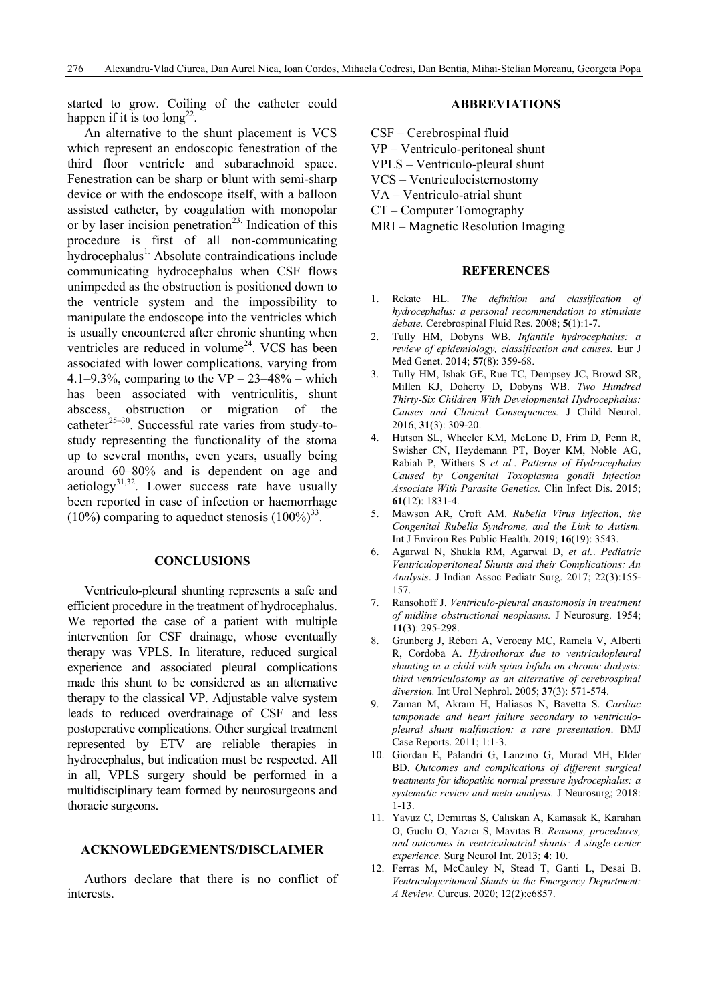started to grow. Coiling of the catheter could happen if it is too  $\log^{22}$ .

 An alternative to the shunt placement is VCS which represent an endoscopic fenestration of the third floor ventricle and subarachnoid space. Fenestration can be sharp or blunt with semi-sharp device or with the endoscope itself, with a balloon assisted catheter, by coagulation with monopolar or by laser incision penetration<sup>23.</sup> Indication of this procedure is first of all non-communicating  $h$ vdrocephalus<sup>1.</sup> Absolute contraindications include communicating hydrocephalus when CSF flows unimpeded as the obstruction is positioned down to the ventricle system and the impossibility to manipulate the endoscope into the ventricles which is usually encountered after chronic shunting when ventricles are reduced in volume<sup>24</sup>. VCS has been associated with lower complications, varying from 4.1–9.3%, comparing to the VP –  $23-48%$  – which has been associated with ventriculitis, shunt abscess, obstruction or migration of the catheter $^{25-30}$ . Successful rate varies from study-tostudy representing the functionality of the stoma up to several months, even years, usually being around 60–80% and is dependent on age and aetiology<sup>31,32</sup>. Lower success rate have usually been reported in case of infection or haemorrhage  $(10\%)$  comparing to aqueduct stenosis  $(100\%)^{33}$ .

#### **CONCLUSIONS**

Ventriculo-pleural shunting represents a safe and efficient procedure in the treatment of hydrocephalus. We reported the case of a patient with multiple intervention for CSF drainage, whose eventually therapy was VPLS. In literature, reduced surgical experience and associated pleural complications made this shunt to be considered as an alternative therapy to the classical VP. Adjustable valve system leads to reduced overdrainage of CSF and less postoperative complications. Other surgical treatment represented by ETV are reliable therapies in hydrocephalus, but indication must be respected. All in all, VPLS surgery should be performed in a multidisciplinary team formed by neurosurgeons and thoracic surgeons.

### **ACKNOWLEDGEMENTS/DISCLAIMER**

Authors declare that there is no conflict of interests.

#### **ABBREVIATIONS**

- CSF Cerebrospinal fluid
- VP Ventriculo-peritoneal shunt
- VPLS Ventriculo-pleural shunt
- VCS Ventriculocisternostomy
- VA Ventriculo-atrial shunt
- CT Computer Tomography
- MRI Magnetic Resolution Imaging

## **REFERENCES**

- 1. Rekate HL. *The definition and classification of hydrocephalus: a personal recommendation to stimulate debate.* Cerebrospinal Fluid Res. 2008; **5**(1):1-7.
- 2. Tully HM, Dobyns WB. *Infantile hydrocephalus: a review of epidemiology, classification and causes.* Eur J Med Genet. 2014; **57**(8): 359-68.
- 3. Tully HM, Ishak GE, Rue TC, Dempsey JC, Browd SR, Millen KJ, Doherty D, Dobyns WB. *Two Hundred Thirty-Six Children With Developmental Hydrocephalus: Causes and Clinical Consequences.* J Child Neurol. 2016; **31**(3): 309-20.
- 4. Hutson SL, Wheeler KM, McLone D, Frim D, Penn R, Swisher CN, Heydemann PT, Boyer KM, Noble AG, Rabiah P, Withers S *et al.*. *Patterns of Hydrocephalus Caused by Congenital Toxoplasma gondii Infection Associate With Parasite Genetics.* Clin Infect Dis. 2015; **61**(12): 1831-4.
- 5. Mawson AR, Croft AM. *Rubella Virus Infection, the Congenital Rubella Syndrome, and the Link to Autism.* Int J Environ Res Public Health. 2019; **16**(19): 3543.
- 6. Agarwal N, Shukla RM, Agarwal D, *et al.*. *Pediatric Ventriculoperitoneal Shunts and their Complications: An Analysis*. J Indian Assoc Pediatr Surg. 2017; 22(3):155- 157.
- 7. Ransohoff J. *Ventriculo-pleural anastomosis in treatment of midline obstructional neoplasms.* J Neurosurg. 1954; **11**(3): 295-298.
- 8. Grunberg J, Rébori A, Verocay MC, Ramela V, Alberti R, Cordoba A. *Hydrothorax due to ventriculopleural shunting in a child with spina bifida on chronic dialysis: third ventriculostomy as an alternative of cerebrospinal diversion.* Int Urol Nephrol. 2005; **37**(3): 571-574.
- 9. Zaman M, Akram H, Haliasos N, Bavetta S. *Cardiac tamponade and heart failure secondary to ventriculopleural shunt malfunction: a rare presentation*. BMJ Case Reports. 2011; 1:1-3.
- 10. Giordan E, Palandri G, Lanzino G, Murad MH, Elder BD. *Outcomes and complications of different surgical treatments for idiopathic normal pressure hydrocephalus: a systematic review and meta-analysis.* J Neurosurg; 2018: 1-13.
- 11. Yavuz C, Demırtas S, Calıskan A, Kamasak K, Karahan O, Guclu O, Yazıcı S, Mavıtas B. *Reasons, procedures, and outcomes in ventriculoatrial shunts: A single-center experience.* Surg Neurol Int. 2013; **4**: 10.
- 12. Ferras M, McCauley N, Stead T, Ganti L, Desai B. *Ventriculoperitoneal Shunts in the Emergency Department: A Review.* Cureus. 2020; 12(2):e6857.